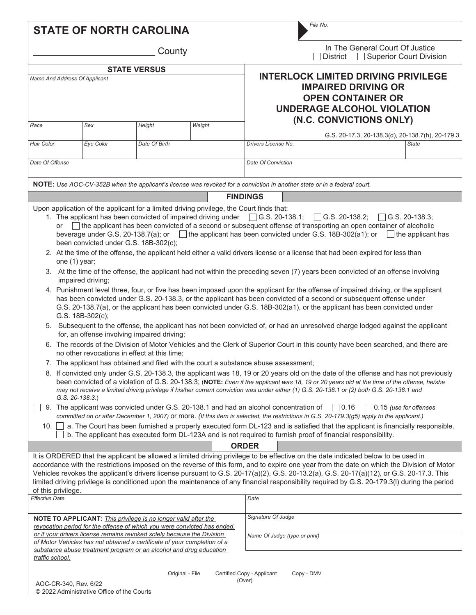|                                                                                                                                                                                                                                                                                                                                                                                                                                                                                                                                                                                                                                                                                                                                                                                                                                                                                                                                                                                                                                                                                                                                                                                                                                                                                                                                                                                                                                                                                                                                                                                                                                                                                                                                                                                                                                                                                                                                                                                                                                                                                         | <b>STATE OF NORTH CAROLINA</b>                                                         |               |                 |                                                                                                                                    | File No.                                                                                                                                                                                                                                                                                                                                                                                                                                                                                                                                                                   |  |  |  |
|-----------------------------------------------------------------------------------------------------------------------------------------------------------------------------------------------------------------------------------------------------------------------------------------------------------------------------------------------------------------------------------------------------------------------------------------------------------------------------------------------------------------------------------------------------------------------------------------------------------------------------------------------------------------------------------------------------------------------------------------------------------------------------------------------------------------------------------------------------------------------------------------------------------------------------------------------------------------------------------------------------------------------------------------------------------------------------------------------------------------------------------------------------------------------------------------------------------------------------------------------------------------------------------------------------------------------------------------------------------------------------------------------------------------------------------------------------------------------------------------------------------------------------------------------------------------------------------------------------------------------------------------------------------------------------------------------------------------------------------------------------------------------------------------------------------------------------------------------------------------------------------------------------------------------------------------------------------------------------------------------------------------------------------------------------------------------------------------|----------------------------------------------------------------------------------------|---------------|-----------------|------------------------------------------------------------------------------------------------------------------------------------|----------------------------------------------------------------------------------------------------------------------------------------------------------------------------------------------------------------------------------------------------------------------------------------------------------------------------------------------------------------------------------------------------------------------------------------------------------------------------------------------------------------------------------------------------------------------------|--|--|--|
| County                                                                                                                                                                                                                                                                                                                                                                                                                                                                                                                                                                                                                                                                                                                                                                                                                                                                                                                                                                                                                                                                                                                                                                                                                                                                                                                                                                                                                                                                                                                                                                                                                                                                                                                                                                                                                                                                                                                                                                                                                                                                                  |                                                                                        |               |                 |                                                                                                                                    | In The General Court Of Justice<br><b>Superior Court Division</b><br><b>District</b>                                                                                                                                                                                                                                                                                                                                                                                                                                                                                       |  |  |  |
| <b>STATE VERSUS</b><br>Name And Address Of Applicant                                                                                                                                                                                                                                                                                                                                                                                                                                                                                                                                                                                                                                                                                                                                                                                                                                                                                                                                                                                                                                                                                                                                                                                                                                                                                                                                                                                                                                                                                                                                                                                                                                                                                                                                                                                                                                                                                                                                                                                                                                    |                                                                                        |               |                 | <b>INTERLOCK LIMITED DRIVING PRIVILEGE</b><br><b>IMPAIRED DRIVING OR</b><br><b>OPEN CONTAINER OR</b><br>UNDERAGE ALCOHOL VIOLATION |                                                                                                                                                                                                                                                                                                                                                                                                                                                                                                                                                                            |  |  |  |
| Race                                                                                                                                                                                                                                                                                                                                                                                                                                                                                                                                                                                                                                                                                                                                                                                                                                                                                                                                                                                                                                                                                                                                                                                                                                                                                                                                                                                                                                                                                                                                                                                                                                                                                                                                                                                                                                                                                                                                                                                                                                                                                    | Sex                                                                                    | Height        | Weight          | (N.C. CONVICTIONS ONLY)<br>G.S. 20-17.3, 20-138.3(d), 20-138.7(h), 20-179.3                                                        |                                                                                                                                                                                                                                                                                                                                                                                                                                                                                                                                                                            |  |  |  |
| Hair Color                                                                                                                                                                                                                                                                                                                                                                                                                                                                                                                                                                                                                                                                                                                                                                                                                                                                                                                                                                                                                                                                                                                                                                                                                                                                                                                                                                                                                                                                                                                                                                                                                                                                                                                                                                                                                                                                                                                                                                                                                                                                              | Eye Color                                                                              | Date Of Birth |                 | Drivers License No.                                                                                                                | <b>State</b>                                                                                                                                                                                                                                                                                                                                                                                                                                                                                                                                                               |  |  |  |
| Date Of Offense                                                                                                                                                                                                                                                                                                                                                                                                                                                                                                                                                                                                                                                                                                                                                                                                                                                                                                                                                                                                                                                                                                                                                                                                                                                                                                                                                                                                                                                                                                                                                                                                                                                                                                                                                                                                                                                                                                                                                                                                                                                                         |                                                                                        |               |                 | Date Of Conviction                                                                                                                 |                                                                                                                                                                                                                                                                                                                                                                                                                                                                                                                                                                            |  |  |  |
|                                                                                                                                                                                                                                                                                                                                                                                                                                                                                                                                                                                                                                                                                                                                                                                                                                                                                                                                                                                                                                                                                                                                                                                                                                                                                                                                                                                                                                                                                                                                                                                                                                                                                                                                                                                                                                                                                                                                                                                                                                                                                         |                                                                                        |               |                 |                                                                                                                                    | NOTE: Use AOC-CV-352B when the applicant's license was revoked for a conviction in another state or in a federal court.                                                                                                                                                                                                                                                                                                                                                                                                                                                    |  |  |  |
|                                                                                                                                                                                                                                                                                                                                                                                                                                                                                                                                                                                                                                                                                                                                                                                                                                                                                                                                                                                                                                                                                                                                                                                                                                                                                                                                                                                                                                                                                                                                                                                                                                                                                                                                                                                                                                                                                                                                                                                                                                                                                         |                                                                                        |               |                 | <b>FINDINGS</b>                                                                                                                    |                                                                                                                                                                                                                                                                                                                                                                                                                                                                                                                                                                            |  |  |  |
| 1. The applicant has been convicted of impaired driving under [G.S. 20-138.1; [G.S. 20-138.2;<br>$\vert$ G.S. 20-138.3;<br>$\Box$ the applicant has been convicted of a second or subsequent offense of transporting an open container of alcoholic<br>or<br>beverage under G.S. 20-138.7(a); or $\Box$ the applicant has been convicted under G.S. 18B-302(a1); or $\Box$ the applicant has<br>been convicted under G.S. 18B-302(c);<br>2. At the time of the offense, the applicant held either a valid drivers license or a license that had been expired for less than<br>one (1) year;<br>3. At the time of the offense, the applicant had not within the preceding seven (7) years been convicted of an offense involving<br>impaired driving;<br>4. Punishment level three, four, or five has been imposed upon the applicant for the offense of impaired driving, or the applicant<br>has been convicted under G.S. 20-138.3, or the applicant has been convicted of a second or subsequent offense under<br>G.S. 20-138.7(a), or the applicant has been convicted under G.S. 18B-302(a1), or the applicant has been convicted under<br>G.S. 18B-302(c);<br>5. Subsequent to the offense, the applicant has not been convicted of, or had an unresolved charge lodged against the applicant<br>for, an offense involving impaired driving;<br>6. The records of the Division of Motor Vehicles and the Clerk of Superior Court in this county have been searched, and there are<br>no other revocations in effect at this time;<br>7. The applicant has obtained and filed with the court a substance abuse assessment;<br>8. If convicted only under G.S. 20-138.3, the applicant was 18, 19 or 20 years old on the date of the offense and has not previously<br>been convicted of a violation of G.S. 20-138.3; (NOTE: Even if the applicant was 18, 19 or 20 years old at the time of the offense, he/she<br>may not receive a limited driving privilege if his/her current conviction was under either (1) G.S. 20-138.1 or (2) both G.S. 20-138.1 and<br>$G.S. 20-138.3.$ |                                                                                        |               |                 |                                                                                                                                    |                                                                                                                                                                                                                                                                                                                                                                                                                                                                                                                                                                            |  |  |  |
|                                                                                                                                                                                                                                                                                                                                                                                                                                                                                                                                                                                                                                                                                                                                                                                                                                                                                                                                                                                                                                                                                                                                                                                                                                                                                                                                                                                                                                                                                                                                                                                                                                                                                                                                                                                                                                                                                                                                                                                                                                                                                         | 9. The applicant was convicted under G.S. 20-138.1 and had an alcohol concentration of |               |                 |                                                                                                                                    | $ $ 0.16<br>$\vert$ 0.15 (use for offenses<br>committed on or after December 1, 2007) or more. (If this item is selected, the restrictions in G.S. 20-179.3(g5) apply to the applicant.)                                                                                                                                                                                                                                                                                                                                                                                   |  |  |  |
| 10.                                                                                                                                                                                                                                                                                                                                                                                                                                                                                                                                                                                                                                                                                                                                                                                                                                                                                                                                                                                                                                                                                                                                                                                                                                                                                                                                                                                                                                                                                                                                                                                                                                                                                                                                                                                                                                                                                                                                                                                                                                                                                     |                                                                                        |               |                 |                                                                                                                                    | a. The Court has been furnished a properly executed form DL-123 and is satisfied that the applicant is financially responsible.<br>b. The applicant has executed form DL-123A and is not required to furnish proof of financial responsibility.                                                                                                                                                                                                                                                                                                                            |  |  |  |
|                                                                                                                                                                                                                                                                                                                                                                                                                                                                                                                                                                                                                                                                                                                                                                                                                                                                                                                                                                                                                                                                                                                                                                                                                                                                                                                                                                                                                                                                                                                                                                                                                                                                                                                                                                                                                                                                                                                                                                                                                                                                                         |                                                                                        |               |                 | <b>ORDER</b>                                                                                                                       |                                                                                                                                                                                                                                                                                                                                                                                                                                                                                                                                                                            |  |  |  |
|                                                                                                                                                                                                                                                                                                                                                                                                                                                                                                                                                                                                                                                                                                                                                                                                                                                                                                                                                                                                                                                                                                                                                                                                                                                                                                                                                                                                                                                                                                                                                                                                                                                                                                                                                                                                                                                                                                                                                                                                                                                                                         | of this privilege.                                                                     |               |                 |                                                                                                                                    | It is ORDERED that the applicant be allowed a limited driving privilege to be effective on the date indicated below to be used in<br>accordance with the restrictions imposed on the reverse of this form, and to expire one year from the date on which the Division of Motor<br>Vehicles revokes the applicant's drivers license pursuant to G.S. 20-17(a)(2), G.S. 20-13.2(a), G.S. 20-17(a)(12), or G.S. 20-17.3. This<br>limited driving privilege is conditioned upon the maintenance of any financial responsibility required by G.S. 20-179.3(I) during the period |  |  |  |
| <b>Effective Date</b>                                                                                                                                                                                                                                                                                                                                                                                                                                                                                                                                                                                                                                                                                                                                                                                                                                                                                                                                                                                                                                                                                                                                                                                                                                                                                                                                                                                                                                                                                                                                                                                                                                                                                                                                                                                                                                                                                                                                                                                                                                                                   |                                                                                        |               |                 | Date                                                                                                                               |                                                                                                                                                                                                                                                                                                                                                                                                                                                                                                                                                                            |  |  |  |
| <b>NOTE TO APPLICANT:</b> This privilege is no longer valid after the<br>revocation period for the offense of which you were convicted has ended.<br>or if your drivers license remains revoked solely because the Division<br>of Motor Vehicles has not obtained a certificate of your completion of a<br>substance abuse treatment program or an alcohol and drug education<br>traffic school.                                                                                                                                                                                                                                                                                                                                                                                                                                                                                                                                                                                                                                                                                                                                                                                                                                                                                                                                                                                                                                                                                                                                                                                                                                                                                                                                                                                                                                                                                                                                                                                                                                                                                        |                                                                                        |               |                 | Signature Of Judge                                                                                                                 |                                                                                                                                                                                                                                                                                                                                                                                                                                                                                                                                                                            |  |  |  |
|                                                                                                                                                                                                                                                                                                                                                                                                                                                                                                                                                                                                                                                                                                                                                                                                                                                                                                                                                                                                                                                                                                                                                                                                                                                                                                                                                                                                                                                                                                                                                                                                                                                                                                                                                                                                                                                                                                                                                                                                                                                                                         |                                                                                        |               |                 | Name Of Judge (type or print)                                                                                                      |                                                                                                                                                                                                                                                                                                                                                                                                                                                                                                                                                                            |  |  |  |
|                                                                                                                                                                                                                                                                                                                                                                                                                                                                                                                                                                                                                                                                                                                                                                                                                                                                                                                                                                                                                                                                                                                                                                                                                                                                                                                                                                                                                                                                                                                                                                                                                                                                                                                                                                                                                                                                                                                                                                                                                                                                                         |                                                                                        |               | Original - File | Certified Copy - Applicant                                                                                                         | Copy - DMV                                                                                                                                                                                                                                                                                                                                                                                                                                                                                                                                                                 |  |  |  |